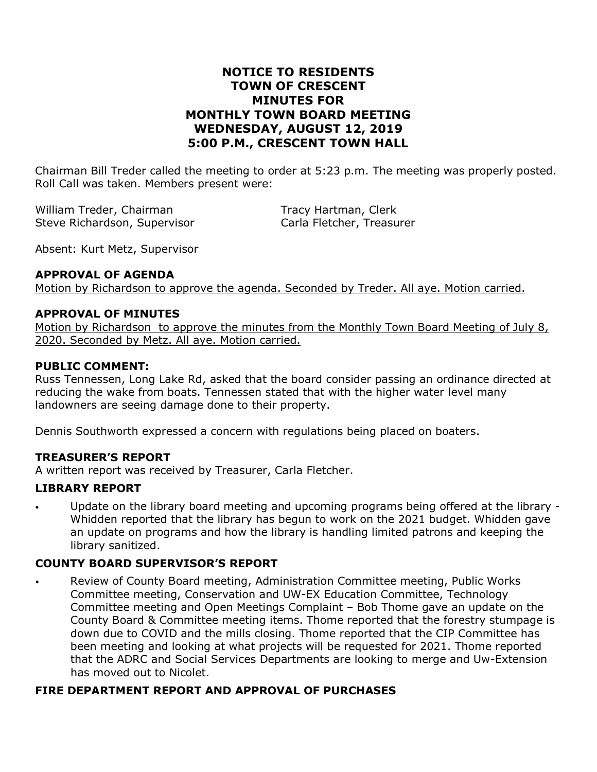## **NOTICE TO RESIDENTS TOWN OF CRESCENT MINUTES FOR MONTHLY TOWN BOARD MEETING WEDNESDAY, AUGUST 12, 2019 5:00 P.M., CRESCENT TOWN HALL**

Chairman Bill Treder called the meeting to order at 5:23 p.m. The meeting was properly posted. Roll Call was taken. Members present were:

William Treder, Chairman Tracy Hartman, Clerk Steve Richardson, Supervisor Carla Fletcher, Treasurer

Absent: Kurt Metz, Supervisor

### **APPROVAL OF AGENDA**

Motion by Richardson to approve the agenda. Seconded by Treder. All aye. Motion carried.

### **APPROVAL OF MINUTES**

Motion by Richardson to approve the minutes from the Monthly Town Board Meeting of July 8, 2020. Seconded by Metz. All aye. Motion carried.

### **PUBLIC COMMENT:**

Russ Tennessen, Long Lake Rd, asked that the board consider passing an ordinance directed at reducing the wake from boats. Tennessen stated that with the higher water level many landowners are seeing damage done to their property.

Dennis Southworth expressed a concern with regulations being placed on boaters.

### **TREASURER'S REPORT**

A written report was received by Treasurer, Carla Fletcher.

### **LIBRARY REPORT**

• Update on the library board meeting and upcoming programs being offered at the library - Whidden reported that the library has begun to work on the 2021 budget. Whidden gave an update on programs and how the library is handling limited patrons and keeping the library sanitized.

## **COUNTY BOARD SUPERVISOR'S REPORT**

• Review of County Board meeting, Administration Committee meeting, Public Works Committee meeting, Conservation and UW-EX Education Committee, Technology Committee meeting and Open Meetings Complaint – Bob Thome gave an update on the County Board & Committee meeting items. Thome reported that the forestry stumpage is down due to COVID and the mills closing. Thome reported that the CIP Committee has been meeting and looking at what projects will be requested for 2021. Thome reported that the ADRC and Social Services Departments are looking to merge and Uw-Extension has moved out to Nicolet.

### **FIRE DEPARTMENT REPORT AND APPROVAL OF PURCHASES**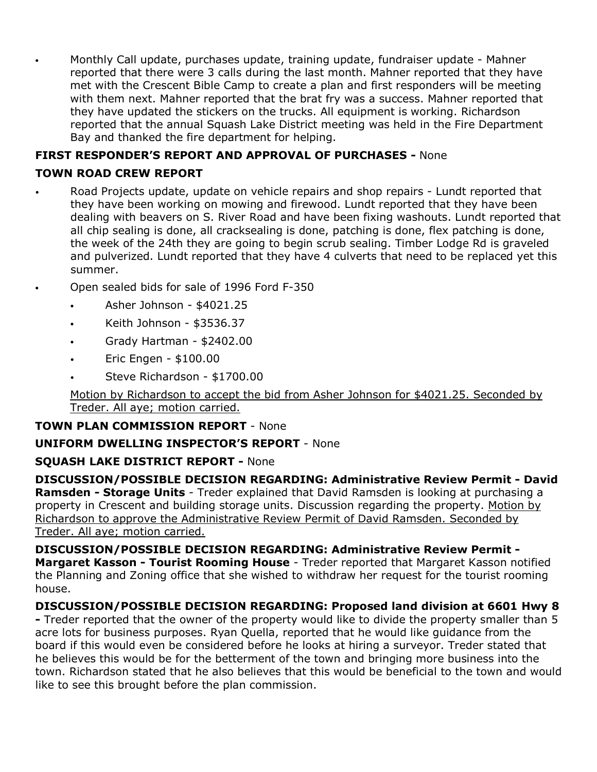• Monthly Call update, purchases update, training update, fundraiser update - Mahner reported that there were 3 calls during the last month. Mahner reported that they have met with the Crescent Bible Camp to create a plan and first responders will be meeting with them next. Mahner reported that the brat fry was a success. Mahner reported that they have updated the stickers on the trucks. All equipment is working. Richardson reported that the annual Squash Lake District meeting was held in the Fire Department Bay and thanked the fire department for helping.

# **FIRST RESPONDER'S REPORT AND APPROVAL OF PURCHASES -** None

### **TOWN ROAD CREW REPORT**

- Road Projects update, update on vehicle repairs and shop repairs Lundt reported that they have been working on mowing and firewood. Lundt reported that they have been dealing with beavers on S. River Road and have been fixing washouts. Lundt reported that all chip sealing is done, all cracksealing is done, patching is done, flex patching is done, the week of the 24th they are going to begin scrub sealing. Timber Lodge Rd is graveled and pulverized. Lundt reported that they have 4 culverts that need to be replaced yet this summer.
- Open sealed bids for sale of 1996 Ford F-350
	- Asher Johnson \$4021.25
	- Keith Johnson \$3536.37
	- Grady Hartman \$2402.00
	- Eric Engen \$100.00
	- Steve Richardson \$1700.00

Motion by Richardson to accept the bid from Asher Johnson for \$4021.25. Seconded by Treder. All aye; motion carried.

**TOWN PLAN COMMISSION REPORT** - None

## **UNIFORM DWELLING INSPECTOR'S REPORT** - None

### **SQUASH LAKE DISTRICT REPORT -** None

**DISCUSSION/POSSIBLE DECISION REGARDING: Administrative Review Permit - David Ramsden - Storage Units** - Treder explained that David Ramsden is looking at purchasing a property in Crescent and building storage units. Discussion regarding the property. Motion by Richardson to approve the Administrative Review Permit of David Ramsden. Seconded by Treder. All aye; motion carried.

**DISCUSSION/POSSIBLE DECISION REGARDING: Administrative Review Permit - Margaret Kasson - Tourist Rooming House** - Treder reported that Margaret Kasson notified the Planning and Zoning office that she wished to withdraw her request for the tourist rooming house.

## **DISCUSSION/POSSIBLE DECISION REGARDING: Proposed land division at 6601 Hwy 8**

**-** Treder reported that the owner of the property would like to divide the property smaller than 5 acre lots for business purposes. Ryan Quella, reported that he would like guidance from the board if this would even be considered before he looks at hiring a surveyor. Treder stated that he believes this would be for the betterment of the town and bringing more business into the town. Richardson stated that he also believes that this would be beneficial to the town and would like to see this brought before the plan commission.